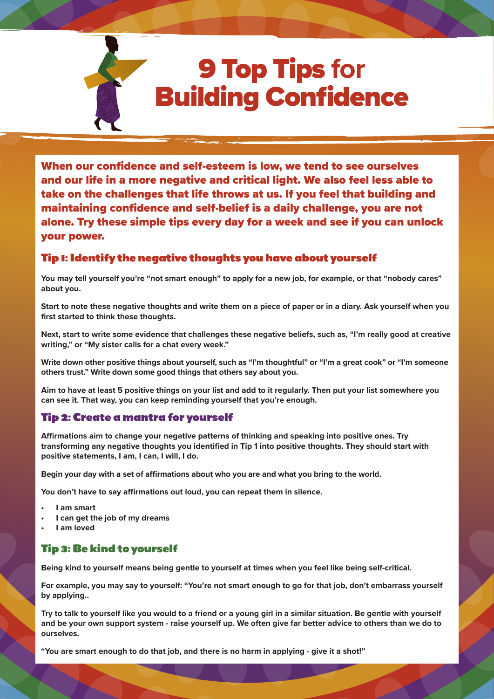

When our confidence and self-esteem is low, we tend to see ourselves and our life in a more negative and critical light. We also feel less able to take on the challenges that life throws at us. If you feel that building and maintaining confidence and self-belief is a daily challenge, you are not alone. Try these simple tips every day for a week and see if you can unlock your power.

# Tip 1: Identify the negative thoughts you have about yourself

**You may tell yourself you're "not smart enough" to apply for a new job, for example, or that "nobody cares" about you.**

**Start to note these negative thoughts and write them on a piece of paper or in a diary. Ask yourself when you first started to think these thoughts.**

**Next, start to write some evidence that challenges these negative beliefs, such as, "I'm really good at creative writing," or "My sister calls for a chat every week."**

**Write down other positive things about yourself, such as "I'm thoughtful" or "I'm a great cook" or "I'm someone others trust." Write down some good things that others say about you.**

**Aim to have at least 5 positive things on your list and add to it regularly. Then put your list somewhere you can see it. That way, you can keep reminding yourself that you're enough.**

#### Tip 2: Create a mantra for yourself

**Affirmations aim to change your negative patterns of thinking and speaking into positive ones. Try transforming any negative thoughts you identified in Tip 1 into positive thoughts. They should start with positive statements, I am, I can, I will, I do.**

**Begin your day with a set of affirmations about who you are and what you bring to the world.** 

**You don't have to say affirmations out loud, you can repeat them in silence.** 

- **• I am smart**
- **• I can get the job of my dreams**
- **• I am loved**

# Tip 3: Be kind to yourself

**Being kind to yourself means being gentle to yourself at times when you feel like being self-critical.**

**For example, you may say to yourself: "You're not smart enough to go for that job, don't embarrass yourself by applying..**

**Try to talk to yourself like you would to a friend or a young girl in a similar situation. Be gentle with yourself and be your own support system - raise yourself up. We often give far better advice to others than we do to ourselves.**

**"You are smart enough to do that job, and there is no harm in applying - give it a shot!"**